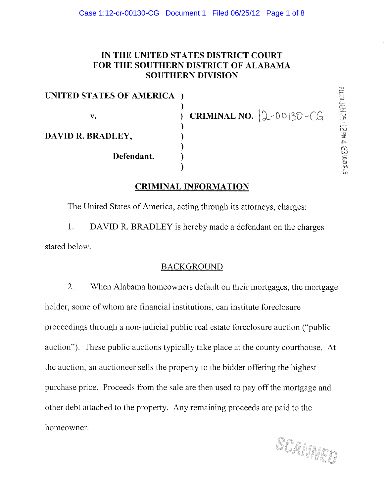## IN THE UNITED STATES DISTRICT COURT FOR THE SOUTHERN DISTRICT OF ALABAMA SOUTHERN DIVISION

UNITED STATES OF AMERICA ) v. DAVID R. BRADLEY, ) ) ) ) Defendant.

 $CRIMINAL NO. |2-00130-CG$ 

# CRIMINAL INFORMATION

)

The United States of America, acting through its attorneys, charges:

1. DAVID R. BRADLEY is hereby made a defendant on the charges stated below.

### BACKGROUND

2. When Alabama homeowners default on their mortgages, the mortgage holder, some of whom are financial institutions, can institute foreclosure proceedings through a non-judicial public real estate foreclosure auction ("public auction"). These public auctions typically take place at the county courthouse. At the auction, an auctioneer sells the property to the bidder offering the highest purchase price. Proceeds from the sale are then used to pay off the mortgage and other debt attached to the property. Any remaining proceeds are paid to the homeowner.

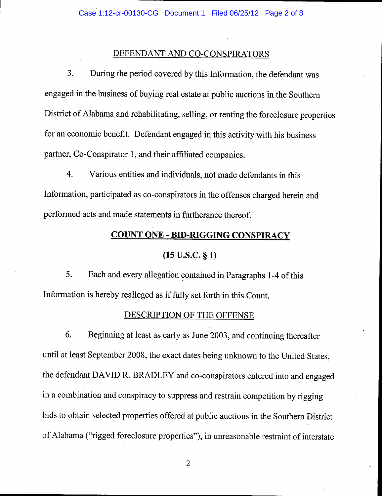#### DEFENDANT AND CO.CONSPIRATORS

3. During the period covered by this Information, the defendant was engaged in the business of buying real estate at public auctions in the Southern District of Alabama and rehabilitating, selling, or renting the foreclosure properties for an economic benefit. Defendant engaged in this activity with his business partner, Co-Conspirator 1, and their affiliated companies.

4. Various entities and individuals, not made defendants in this Information, participated as co-conspirators in the offenses charged herein and performed acts and made statements in furtherance thereof.

#### **COUNT ONE - BID-RIGGING CONSPIRACY**

#### $(15 \text{ U.S.C. }$ § 1)

5. Each and every allegation contained in Paragraphs 1-4 of this Information is hereby realleged as if fully set forth in this Count.

#### DESCRIPTION OF THE OFFENSE

6. Beginning at least as early as June 2003, and continuing thereafter until at least September 2008, the exact dates being unknown to the United States, the defendant DAVID R. BRADLEY and co-conspirators entered into and engaged in a combination and conspiracy to suppress and restrain competition by rigging bids to obtain selected properties offered at public auctions in the Southern District of Alabama ("rigged foreclosure properties"), in unreasonable restraint of interstate

 $\mathbf{2}$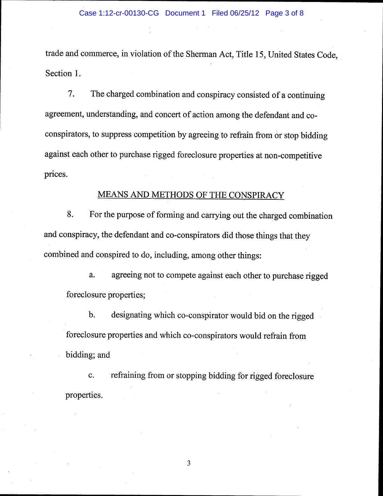trade and commerce, in violation of the Sherman Act, Title 15, United States Code, Section 1.

7. The charged combination and conspiracy consisted of a continuing agreement, understanding, and concert of action among the defendant and coconspirators, to suppress competition by agreeing to refrain from or stop bidding against each other to purchase rigged foreclosure properties at non-competitive prices.

#### MEANS AND METHODS OF THE CONSPIRACY

8. For the purpose of forming and carrying out the charged combination and conspiracy, the defendant and co-conspirators did those things that they combined and conspired to do, including, among other things:

a. agreeing not to compete against each other to purchase rigged foreclosure properties;

b. designating which co-conspirator would bid on the rigged foreclosure properties and which co-conspirators would refrain from bidding; and

c. refraining from or stopping bidding for rigged foreclosure properties.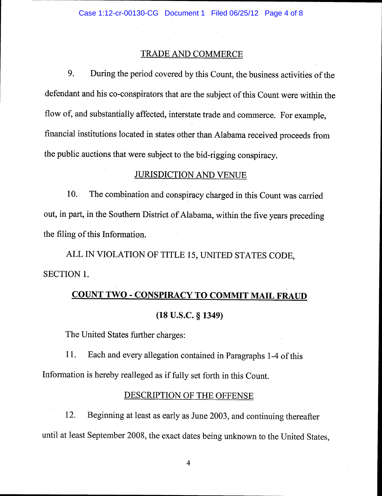#### TRADE AND COMMERCE

9. During the period covered by this Count, the business activities of the defendant and his co-conspirators that are the subject of this Count were within the flow of, and substantially affected, interstate trade and commerce. For example, financial institutions located in states other than Alabama received proceeds from the public auctions that were subject to the bid-rigging conspiracy.

#### JURISDICTION AND VENUE

10. The combination and conspiracy charged in this Count was carried out, in part, in the Southern District of Alabama, within the five years preceding the filing of this Information.

ALL IN VIOLATION OF TITLE 15, UNITED STATES CODE, SECTION 1.

# COUNT TWO - CONSPIRACY TO COMMIT MAIL FRAUD (18 U.S.C. g 1349)

The United States further charges:

11. Each and every allegation contained in Paragraphs 1-4 of this Information is hereby realleged as if fully set forth in this count.

#### DESCRIPTION OF THE OFFENSE

12. Beginning at least as early as June 2003, and continuing thereafter until at least September 2008, the exact dates being unknown to the United States,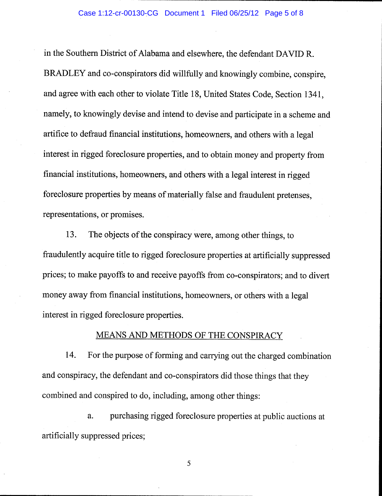in the Southern District of Alabama and elsewhere, the defendant DAVID R. BRADLEY and co-conspirators did willfully and knowingly combine, conspire, and agree with each other to violate Title 18, United States Code, Section 134I, namely, to knowingly devise and intend to devise and participate in a scheme and artifice to defraud financial institutions, homeowners, and others with a legal interest in rigged foreclosure properties, and to obtain money and property from financial institutions, homeowners, and others with a legal interest in rigged foreclosure properties by means of materially false and fraudulent pretenses, representations, or promises.

13. The objects of the conspiracy were, among other things, to fraudulently acquire title to rigged foreclosure properties at artificially suppressed prices; to make payoffs to and receive payoffs from co-conspirators; and to divert money away from financial institutions, homeowners, or others with a legal interest in rigged foreclosure properties.

#### MEANS AND METHODS OF THE CONSPIRACY

14. For the purpose of forming and carrying out the charged combination and conspiracy, the defendant and co-conspirators did those things that they combined and conspired to do, including, among other things:

a. purchasing rigged foreclosure properties at public auctions at artificially suppressed prices;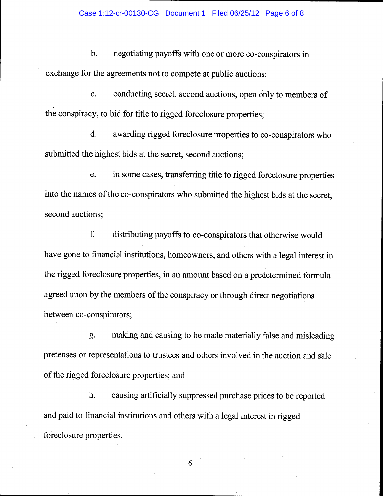b. negotiating payoffs with one or more co-conspirators in exchange for the agreements not to compete at public auctions;

c. conducting secret, second auctions, open only to members of the conspiracy, to bid for title to rigged foreclosure properties;

d. awarding rigged foreclosure properties to co-conspirators who submitted the highest bids at the secret, second auctions;

e. in some cases, transferring title to rigged foreclosure properties into the names of the co-conspirators who submitted the highest bids at the secret, second auctions;

f. distributing payoffs to co-conspirators that otherwise would have gone to financial institutions, homeowners, and others with a legal interest in the rigged foreclosure properties, in an amount based on a predetermined formula agreed upon by the members of the conspiracy or through direct negotiations between co-conspirators;

g. making and causing to be made materially false and misleading pretenses or representations to trustees and others involved in the auction and sale of the rigged foreclosure properties; and

h. causing artificially suppressed purchase prices to be reported and paid to financial institutions and others with a legal interest in rigged foreclosure properties.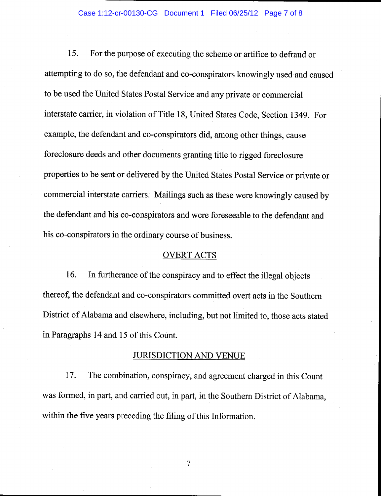15. For the purpose of executing the scheme or artifice to defraud or attempting to do so, the defendant and co-conspirators knowingly used and caused to be used the United States Postal Service and any private or commercial interstate carrier, in violation of Title 18, United States Code, Section 1349. For example, the defendant and co-conspirators did, among other things, cause foreclosure deeds and other documents granting title to rigged foreclosure properties to be sent or delivered by the United States Postal Service or private or commercial interstate carriers. Mailings such as these were knowingly caused by the defendant and his co-conspirators and were foreseeable to the defendant and his co-conspirators in the ordinary course of business.

#### OVERT ACTS

16. In furtherance of the conspiracy and to effect the illegal objects thereof, the defendant and co-conspirators committed overt acts in the Southern District of Alabama and elsewhere, including, but not limited to, those acts stated in Paragraphs 14 and 15 of this Count.

#### JURISDICTION AND VENUE

17. The combination, conspiracy, and agreement charged in this Count was formed, in part, and carried out, in part, in the Southern District of Alabama, within the five years preceding the filing of this Information.

 $\overline{7}$